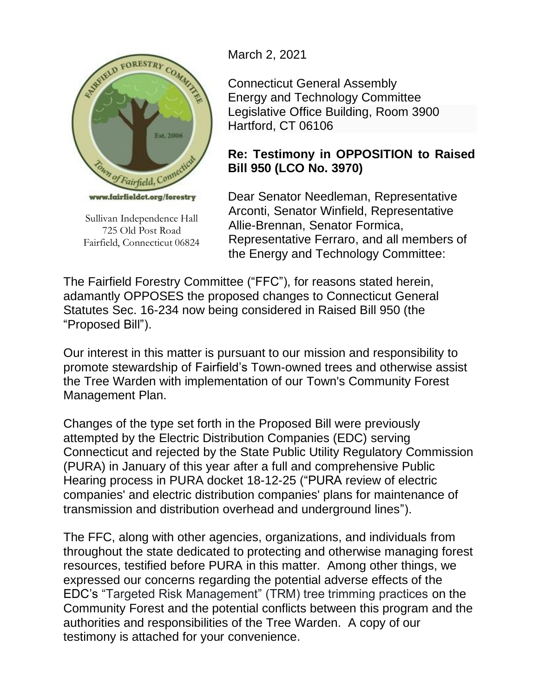

Sullivan Independence Hall 725 Old Post Road Fairfield, Connecticut 06824

March 2, 2021

Connecticut General Assembly Energy and Technology Committee Legislative Office Building, Room 3900 Hartford, CT 06106

## **Re: Testimony in OPPOSITION to Raised Bill 950 (LCO No. 3970)**

Dear Senator Needleman, Representative Arconti, Senator Winfield, Representative Allie-Brennan, Senator Formica, Representative Ferraro, and all members of the Energy and Technology Committee:

The Fairfield Forestry Committee ("FFC"), for reasons stated herein, adamantly OPPOSES the proposed changes to Connecticut General Statutes Sec. 16-234 now being considered in Raised Bill 950 (the "Proposed Bill").

Our interest in this matter is pursuant to our mission and responsibility to promote stewardship of Fairfield's Town-owned trees and otherwise assist the Tree Warden with implementation of our Town's Community Forest Management Plan.

Changes of the type set forth in the Proposed Bill were previously attempted by the Electric Distribution Companies (EDC) serving Connecticut and rejected by the State Public Utility Regulatory Commission (PURA) in January of this year after a full and comprehensive Public Hearing process in PURA docket 18-12-25 ("PURA review of electric companies' and electric distribution companies' plans for maintenance of transmission and distribution overhead and underground lines").

The FFC, along with other agencies, organizations, and individuals from throughout the state dedicated to protecting and otherwise managing forest resources, testified before PURA in this matter. Among other things, we expressed our concerns regarding the potential adverse effects of the EDC's "Targeted Risk Management" (TRM) tree trimming practices on the Community Forest and the potential conflicts between this program and the authorities and responsibilities of the Tree Warden. A copy of our testimony is attached for your convenience.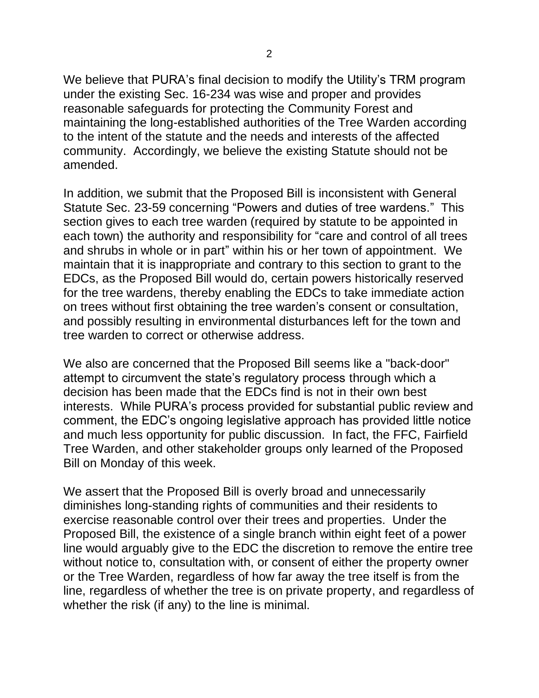We believe that PURA's final decision to modify the Utility's TRM program under the existing Sec. 16-234 was wise and proper and provides reasonable safeguards for protecting the Community Forest and maintaining the long-established authorities of the Tree Warden according to the intent of the statute and the needs and interests of the affected community. Accordingly, we believe the existing Statute should not be amended.

In addition, we submit that the Proposed Bill is inconsistent with General Statute Sec. 23-59 concerning "Powers and duties of tree wardens." This section gives to each tree warden (required by statute to be appointed in each town) the authority and responsibility for "care and control of all trees and shrubs in whole or in part" within his or her town of appointment. We maintain that it is inappropriate and contrary to this section to grant to the EDCs, as the Proposed Bill would do, certain powers historically reserved for the tree wardens, thereby enabling the EDCs to take immediate action on trees without first obtaining the tree warden's consent or consultation, and possibly resulting in environmental disturbances left for the town and tree warden to correct or otherwise address.

We also are concerned that the Proposed Bill seems like a "back-door" attempt to circumvent the state's regulatory process through which a decision has been made that the EDCs find is not in their own best interests. While PURA's process provided for substantial public review and comment, the EDC's ongoing legislative approach has provided little notice and much less opportunity for public discussion. In fact, the FFC, Fairfield Tree Warden, and other stakeholder groups only learned of the Proposed Bill on Monday of this week.

We assert that the Proposed Bill is overly broad and unnecessarily diminishes long-standing rights of communities and their residents to exercise reasonable control over their trees and properties. Under the Proposed Bill, the existence of a single branch within eight feet of a power line would arguably give to the EDC the discretion to remove the entire tree without notice to, consultation with, or consent of either the property owner or the Tree Warden, regardless of how far away the tree itself is from the line, regardless of whether the tree is on private property, and regardless of whether the risk (if any) to the line is minimal.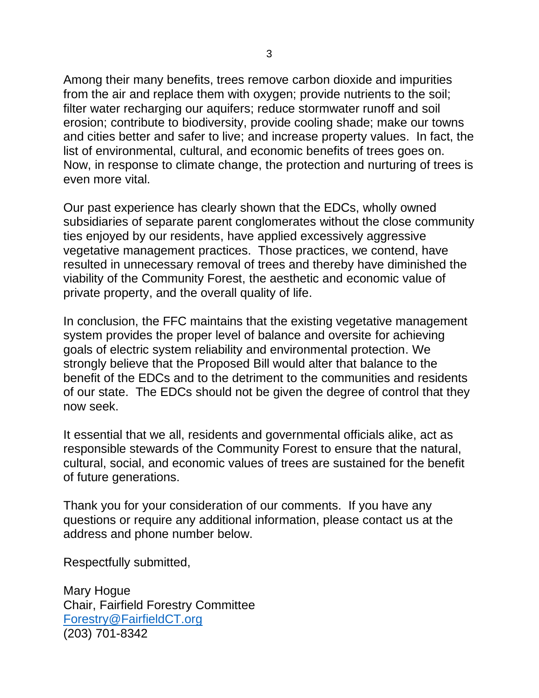Among their many benefits, trees remove carbon dioxide and impurities from the air and replace them with oxygen; provide nutrients to the soil; filter water recharging our aquifers; reduce stormwater runoff and soil erosion; contribute to biodiversity, provide cooling shade; make our towns and cities better and safer to live; and increase property values. In fact, the list of environmental, cultural, and economic benefits of trees goes on. Now, in response to climate change, the protection and nurturing of trees is even more vital.

Our past experience has clearly shown that the EDCs, wholly owned subsidiaries of separate parent conglomerates without the close community ties enjoyed by our residents, have applied excessively aggressive vegetative management practices. Those practices, we contend, have resulted in unnecessary removal of trees and thereby have diminished the viability of the Community Forest, the aesthetic and economic value of private property, and the overall quality of life.

In conclusion, the FFC maintains that the existing vegetative management system provides the proper level of balance and oversite for achieving goals of electric system reliability and environmental protection. We strongly believe that the Proposed Bill would alter that balance to the benefit of the EDCs and to the detriment to the communities and residents of our state. The EDCs should not be given the degree of control that they now seek.

It essential that we all, residents and governmental officials alike, act as responsible stewards of the Community Forest to ensure that the natural, cultural, social, and economic values of trees are sustained for the benefit of future generations.

Thank you for your consideration of our comments. If you have any questions or require any additional information, please contact us at the address and phone number below.

Respectfully submitted,

Mary Hogue Chair, Fairfield Forestry Committee [Forestry@FairfieldCT.org](mailto:Forestry@FairfieldCT.org) (203) 701-8342